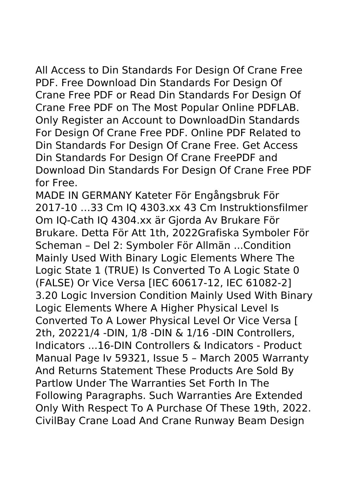All Access to Din Standards For Design Of Crane Free PDF. Free Download Din Standards For Design Of Crane Free PDF or Read Din Standards For Design Of Crane Free PDF on The Most Popular Online PDFLAB. Only Register an Account to DownloadDin Standards For Design Of Crane Free PDF. Online PDF Related to Din Standards For Design Of Crane Free. Get Access Din Standards For Design Of Crane FreePDF and Download Din Standards For Design Of Crane Free PDF for Free.

MADE IN GERMANY Kateter För Engångsbruk För 2017-10 …33 Cm IQ 4303.xx 43 Cm Instruktionsfilmer Om IQ-Cath IQ 4304.xx är Gjorda Av Brukare För Brukare. Detta För Att 1th, 2022Grafiska Symboler För Scheman – Del 2: Symboler För Allmän ...Condition Mainly Used With Binary Logic Elements Where The Logic State 1 (TRUE) Is Converted To A Logic State 0 (FALSE) Or Vice Versa [IEC 60617-12, IEC 61082-2] 3.20 Logic Inversion Condition Mainly Used With Binary Logic Elements Where A Higher Physical Level Is Converted To A Lower Physical Level Or Vice Versa [ 2th, 20221/4 -DIN, 1/8 -DIN & 1/16 -DIN Controllers, Indicators ...16-DIN Controllers & Indicators - Product Manual Page Iv 59321, Issue 5 – March 2005 Warranty And Returns Statement These Products Are Sold By Partlow Under The Warranties Set Forth In The Following Paragraphs. Such Warranties Are Extended Only With Respect To A Purchase Of These 19th, 2022. CivilBay Crane Load And Crane Runway Beam Design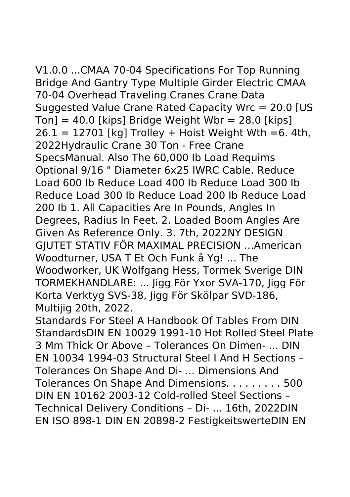V1.0.0 ...CMAA 70-04 Specifications For Top Running Bridge And Gantry Type Multiple Girder Electric CMAA 70-04 Overhead Traveling Cranes Crane Data Suggested Value Crane Rated Capacity Wrc = 20.0 [US  $T<sub>on</sub>] = 40.0$  [kips] Bridge Weight Wbr = 28.0 [kips]  $26.1 = 12701$  [kg] Trolley + Hoist Weight Wth =6. 4th, 2022Hydraulic Crane 30 Ton - Free Crane SpecsManual. Also The 60,000 Ib Load Requims Optional 9/16 " Diameter 6x25 IWRC Cable. Reduce Load 600 Ib Reduce Load 400 Ib Reduce Load 300 Ib Reduce Load 300 Ib Reduce Load 200 Ib Reduce Load 200 Ib 1. All Capacities Are In Pounds, Angles In Degrees, Radius In Feet. 2. Loaded Boom Angles Are Given As Reference Only. 3. 7th, 2022NY DESIGN GJUTET STATIV FÖR MAXIMAL PRECISION …American Woodturner, USA T Et Och Funk å Yg! ... The Woodworker, UK Wolfgang Hess, Tormek Sverige DIN TORMEKHANDLARE: ... Jigg För Yxor SVA‑170, Jigg För Korta Verktyg SVS‑38, Jigg För Skölpar SVD‑186, Multijig 20th, 2022.

Standards For Steel A Handbook Of Tables From DIN StandardsDIN EN 10029 1991-10 Hot Rolled Steel Plate 3 Mm Thick Or Above – Tolerances On Dimen- ... DIN EN 10034 1994-03 Structural Steel I And H Sections – Tolerances On Shape And Di- ... Dimensions And Tolerances On Shape And Dimensions. . . . . . . . . 500 DIN EN 10162 2003-12 Cold-rolled Steel Sections – Technical Delivery Conditions – Di- ... 16th, 2022DIN EN ISO 898-1 DIN EN 20898-2 FestigkeitswerteDIN EN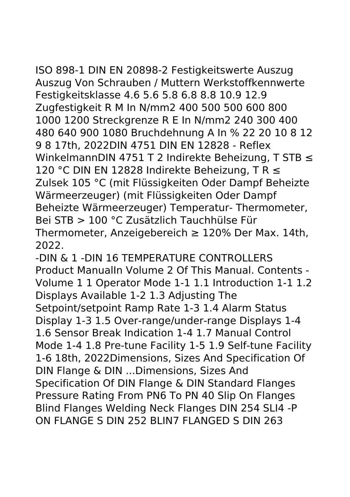## ISO 898-1 DIN EN 20898-2 Festigkeitswerte Auszug Auszug Von Schrauben / Muttern Werkstoffkennwerte Festigkeitsklasse 4.6 5.6 5.8 6.8 8.8 10.9 12.9 Zugfestigkeit R M In N/mm2 400 500 500 600 800 1000 1200 Streckgrenze R E In N/mm2 240 300 400 480 640 900 1080 Bruchdehnung A In % 22 20 10 8 12 9 8 17th, 2022DIN 4751 DIN EN 12828 - Reflex WinkelmannDIN 4751 T 2 Indirekte Beheizung, T STB ≤ 120 °C DIN EN 12828 Indirekte Beheizung, T R ≤ Zulsek 105 °C (mit Flüssigkeiten Oder Dampf Beheizte Wärmeerzeuger) (mit Flüssigkeiten Oder Dampf Beheizte Wärmeerzeuger) Temperatur- Thermometer, Bei STB > 100 °C Zusätzlich Tauchhülse Für Thermometer, Anzeigebereich ≥ 120% Der Max. 14th, 2022.

-DIN & 1 -DIN 16 TEMPERATURE CONTROLLERS Product ManualIn Volume 2 Of This Manual. Contents - Volume 1 1 Operator Mode 1-1 1.1 Introduction 1-1 1.2 Displays Available 1-2 1.3 Adjusting The Setpoint/setpoint Ramp Rate 1-3 1.4 Alarm Status Display 1-3 1.5 Over-range/under-range Displays 1-4 1.6 Sensor Break Indication 1-4 1.7 Manual Control Mode 1-4 1.8 Pre-tune Facility 1-5 1.9 Self-tune Facility 1-6 18th, 2022Dimensions, Sizes And Specification Of DIN Flange & DIN ...Dimensions, Sizes And Specification Of DIN Flange & DIN Standard Flanges Pressure Rating From PN6 To PN 40 Slip On Flanges Blind Flanges Welding Neck Flanges DIN 254 SLI4 -P ON FLANGE S DIN 252 BLIN7 FLANGED S DIN 263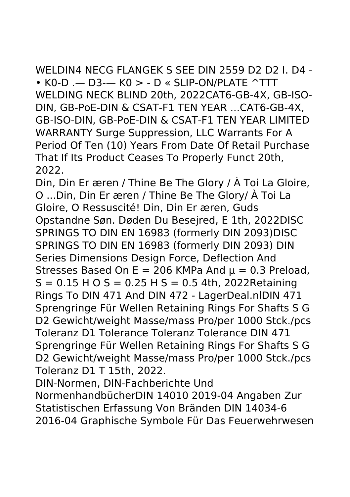WELDIN4 NECG FLANGEK S SEE DIN 2559 D2 D2 I. D4 - • K0-D .— D3-— K0 > - D « SLIP-ON/PLATE ^TTT WELDING NECK BLIND 20th, 2022CAT6-GB-4X, GB-ISO-DIN, GB-PoE-DIN & CSAT-F1 TEN YEAR ...CAT6-GB-4X, GB-ISO-DIN, GB-PoE-DIN & CSAT-F1 TEN YEAR LIMITED WARRANTY Surge Suppression, LLC Warrants For A Period Of Ten (10) Years From Date Of Retail Purchase That If Its Product Ceases To Properly Funct 20th, 2022.

Din, Din Er æren / Thine Be The Glory / À Toi La Gloire, O ...Din, Din Er æren / Thine Be The Glory/ À Toi La Gloire, O Ressuscité! Din, Din Er æren, Guds Opstandne Søn. Døden Du Besejred, E 1th, 2022DISC SPRINGS TO DIN EN 16983 (formerly DIN 2093)DISC SPRINGS TO DIN EN 16983 (formerly DIN 2093) DIN Series Dimensions Design Force, Deflection And Stresses Based On E = 206 KMPa And  $\mu$  = 0.3 Preload,  $S = 0.15$  H O S = 0.25 H S = 0.5 4th, 2022Retaining Rings To DIN 471 And DIN 472 - LagerDeal.nlDIN 471 Sprengringe Für Wellen Retaining Rings For Shafts S G D2 Gewicht/weight Masse/mass Pro/per 1000 Stck./pcs Toleranz D1 Tolerance Toleranz Tolerance DIN 471 Sprengringe Für Wellen Retaining Rings For Shafts S G D2 Gewicht/weight Masse/mass Pro/per 1000 Stck./pcs Toleranz D1 T 15th, 2022.

DIN-Normen, DIN-Fachberichte Und NormenhandbücherDIN 14010 2019-04 Angaben Zur

Statistischen Erfassung Von Bränden DIN 14034-6 2016-04 Graphische Symbole Für Das Feuerwehrwesen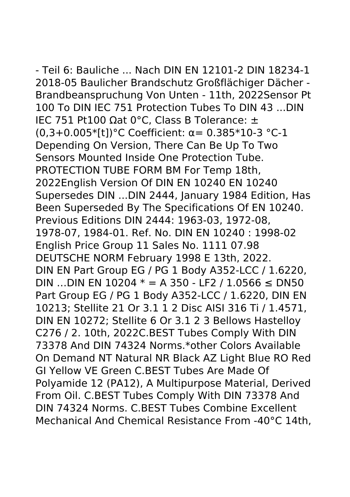- Teil 6: Bauliche ... Nach DIN EN 12101-2 DIN 18234-1 2018-05 Baulicher Brandschutz Großflächiger Dächer - Brandbeanspruchung Von Unten - 11th, 2022Sensor Pt 100 To DIN IEC 751 Protection Tubes To DIN 43 ...DIN IEC 751 Pt100 Ωat 0°C, Class B Tolerance: ± (0,3+0.005\*[t])°C Coefficient: α= 0.385\*10-3 °C-1 Depending On Version, There Can Be Up To Two Sensors Mounted Inside One Protection Tube. PROTECTION TUBE FORM BM For Temp 18th, 2022English Version Of DIN EN 10240 EN 10240 Supersedes DIN ...DIN 2444, January 1984 Edition, Has Been Superseded By The Specifications Of EN 10240. Previous Editions DIN 2444: 1963-03, 1972-08, 1978-07, 1984-01. Ref. No. DIN EN 10240 : 1998-02 English Price Group 11 Sales No. 1111 07.98 DEUTSCHE NORM February 1998 E 13th, 2022. DIN EN Part Group EG / PG 1 Body A352-LCC / 1.6220, DIN …DIN EN 10204  $*$  = A 350 - LF2 / 1.0566 ≤ DN50 Part Group EG / PG 1 Body A352-LCC / 1.6220, DIN EN 10213; Stellite 21 Or 3.1 1 2 Disc AISI 316 Ti / 1.4571, DIN EN 10272; Stellite 6 Or 3.1 2 3 Bellows Hastelloy C276 / 2. 10th, 2022C.BEST Tubes Comply With DIN 73378 And DIN 74324 Norms.\*other Colors Available On Demand NT Natural NR Black AZ Light Blue RO Red GI Yellow VE Green C.BEST Tubes Are Made Of Polyamide 12 (PA12), A Multipurpose Material, Derived From Oil. C.BEST Tubes Comply With DIN 73378 And DIN 74324 Norms. C.BEST Tubes Combine Excellent Mechanical And Chemical Resistance From -40°C 14th,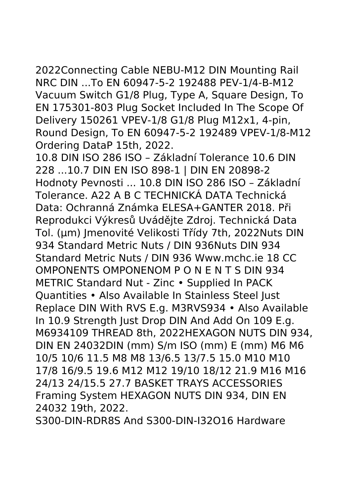2022Connecting Cable NEBU-M12 DIN Mounting Rail NRC DIN ...To EN 60947-5-2 192488 PEV-1/4-B-M12 Vacuum Switch G1/8 Plug, Type A, Square Design, To EN 175301-803 Plug Socket Included In The Scope Of Delivery 150261 VPEV-1/8 G1/8 Plug M12x1, 4-pin, Round Design, To EN 60947-5-2 192489 VPEV-1/8-M12 Ordering DataP 15th, 2022.

10.8 DIN ISO 286 ISO – Základní Tolerance 10.6 DIN 228 ...10.7 DIN EN ISO 898-1 | DIN EN 20898-2 Hodnoty Pevnosti ... 10.8 DIN ISO 286 ISO – Základní Tolerance. A22 A B C TECHNICKÁ DATA Technická Data: Ochranná Známka ELESA+GANTER 2018. Při Reprodukci Výkresů Uvádějte Zdroj. Technická Data Tol. (μm) Jmenovité Velikosti Třídy 7th, 2022Nuts DIN 934 Standard Metric Nuts / DIN 936Nuts DIN 934 Standard Metric Nuts / DIN 936 Www.mchc.ie 18 CC OMPONENTS OMPONENOM P O N E N T S DIN 934 METRIC Standard Nut - Zinc • Supplied In PACK Quantities • Also Available In Stainless Steel Just Replace DIN With RVS E.g. M3RVS934 • Also Available In 10.9 Strength Just Drop DIN And Add On 109 E.g. M6934109 THREAD 8th, 2022HEXAGON NUTS DIN 934, DIN EN 24032DIN (mm) S/m ISO (mm) E (mm) M6 M6 10/5 10/6 11.5 M8 M8 13/6.5 13/7.5 15.0 M10 M10 17/8 16/9.5 19.6 M12 M12 19/10 18/12 21.9 M16 M16 24/13 24/15.5 27.7 BASKET TRAYS ACCESSORIES Framing System HEXAGON NUTS DIN 934, DIN EN 24032 19th, 2022.

S300-DIN-RDR8S And S300-DIN-I32O16 Hardware